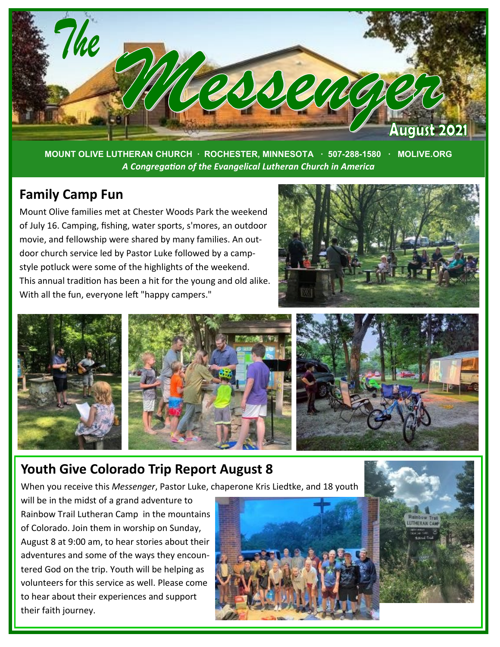

**MOUNT OLIVE LUTHERAN CHURCH · ROCHESTER, MINNESOTA · 507-288-1580 · MOLIVE.ORG**  *A Congregation of the Evangelical Lutheran Church in America*

#### **Family Camp Fun**

Mount Olive families met at Chester Woods Park the weekend of July 16. Camping, fishing, water sports, s'mores, an outdoor movie, and fellowship were shared by many families. An outdoor church service led by Pastor Luke followed by a campstyle potluck were some of the highlights of the weekend. This annual tradition has been a hit for the young and old alike. With all the fun, everyone left "happy campers."





### **Youth Give Colorado Trip Report August 8**

When you receive this *Messenger*, Pastor Luke, chaperone Kris Liedtke, and 18 youth

will be in the midst of a grand adventure to Rainbow Trail Lutheran Camp in the mountains of Colorado. Join them in worship on Sunday, August 8 at 9:00 am, to hear stories about their adventures and some of the ways they encountered God on the trip. Youth will be helping as volunteers for this service as well. Please come to hear about their experiences and support their faith journey.

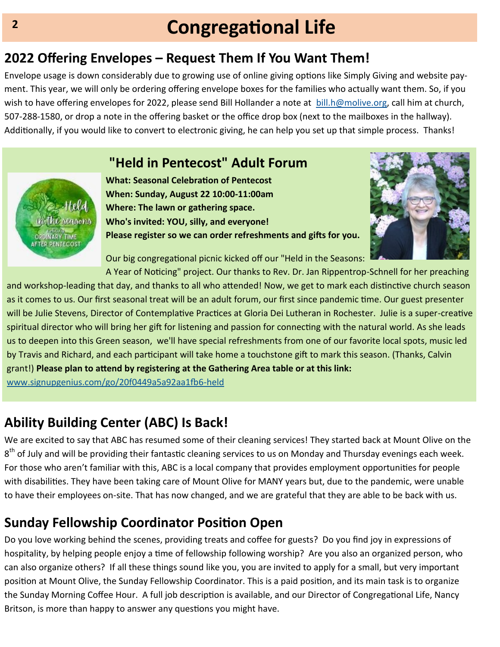# **Congregational Life**

## **2022 Offering Envelopes – Request Them If You Want Them!**

Envelope usage is down considerably due to growing use of online giving options like Simply Giving and website payment. This year, we will only be ordering offering envelope boxes for the families who actually want them. So, if you wish to have offering envelopes for 2022, please send Bill Hollander a note at [bill.h@molive.org,](mailto:bill.h@molive.org) call him at church, 507-288-1580, or drop a note in the offering basket or the office drop box (next to the mailboxes in the hallway). Additionally, if you would like to convert to electronic giving, he can help you set up that simple process. Thanks!

### **"Held in Pentecost" Adult Forum**



**What: Seasonal Celebration of Pentecost When: Sunday, August 22 10:00-11:00am Where: The lawn or gathering space. Who's invited: YOU, silly, and everyone! Please register so we can order refreshments and gifts for you.**



Our big congregational picnic kicked off our "Held in the Seasons:

A Year of Noticing" project. Our thanks to Rev. Dr. Jan Rippentrop-Schnell for her preaching and workshop-leading that day, and thanks to all who attended! Now, we get to mark each distinctive church season as it comes to us. Our first seasonal treat will be an adult forum, our first since pandemic time. Our guest presenter will be Julie Stevens, Director of Contemplative Practices at Gloria Dei Lutheran in Rochester. Julie is a super-creative spiritual director who will bring her gift for listening and passion for connecting with the natural world. As she leads us to deepen into this Green season, we'll have special refreshments from one of our favorite local spots, music led by Travis and Richard, and each participant will take home a touchstone gift to mark this season. (Thanks, Calvin grant!) **Please plan to attend by registering at the Gathering Area table or at this link:**  [www.signupgenius.com/go/20f0449a5a92aa1fb6](https://www.signupgenius.com/go/20f0449a5a92aa1fb6-held)-held

**Ability Building Center (ABC) Is Back!**

We are excited to say that ABC has resumed some of their cleaning services! They started back at Mount Olive on the  $8^{th}$  of July and will be providing their fantastic cleaning services to us on Monday and Thursday evenings each week.

For those who aren't familiar with this, ABC is a local company that provides employment opportunities for people with disabilities. They have been taking care of Mount Olive for MANY years but, due to the pandemic, were unable to have their employees on-site. That has now changed, and we are grateful that they are able to be back with us.

# **Sunday Fellowship Coordinator Position Open**

Do you love working behind the scenes, providing treats and coffee for guests? Do you find joy in expressions of hospitality, by helping people enjoy a time of fellowship following worship? Are you also an organized person, who can also organize others? If all these things sound like you, you are invited to apply for a small, but very important position at Mount Olive, the Sunday Fellowship Coordinator. This is a paid position, and its main task is to organize the Sunday Morning Coffee Hour. A full job description is available, and our Director of Congregational Life, Nancy Britson, is more than happy to answer any questions you might have.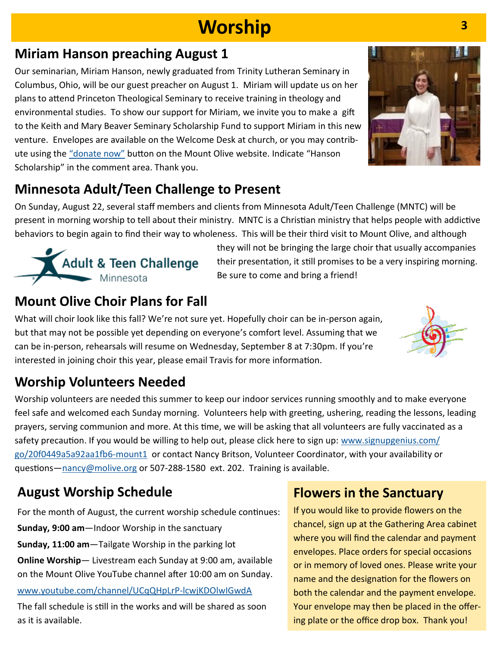# **Worship**

## **Miriam Hanson preaching August 1**

Our seminarian, Miriam Hanson, newly graduated from Trinity Lutheran Seminary in Columbus, Ohio, will be our guest preacher on August 1. Miriam will update us on her plans to attend Princeton Theological Seminary to receive training in theology and environmental studies. To show our support for Miriam, we invite you to make a gift to the Keith and Mary Beaver Seminary Scholarship Fund to support Miriam in this new venture. Envelopes are available on the Welcome Desk at church, or you may contribute using the "[donate now](https://www.eservicepayments.com/cgi-bin/Vanco_ver3.vps?appver3=Dc8dzPGn4-LCajFevTkh9F9GbHqgqEMO1jvDwDsoftfhZsGoT3E4QZELbqgqSdJW7ZFaBI7MrFktICLGr5LHcWsE5sFcP5W_q6OpXQTy0tHBdYg0q5lJPVDnwR83jngRk0PpduXvnt8gXUeZjQYbn1-qHJH3PAfZ3BieGkIatNw=&ver=3)" button on the Mount Olive website. Indicate "Hanson Scholarship" in the comment area. Thank you.



# **Minnesota Adult/Teen Challenge to Present**

On Sunday, August 22, several staff members and clients from Minnesota Adult/Teen Challenge (MNTC) will be present in morning worship to tell about their ministry. MNTC is a Christian ministry that helps people with addictive behaviors to begin again to find their way to wholeness. This will be their third visit to Mount Olive, and although



they will not be bringing the large choir that usually accompanies their presentation, it still promises to be a very inspiring morning. Be sure to come and bring a friend!

## **Mount Olive Choir Plans for Fall**

What will choir look like this fall? We're not sure yet. Hopefully choir can be in-person again, but that may not be possible yet depending on everyone's comfort level. Assuming that we can be in-person, rehearsals will resume on Wednesday, September 8 at 7:30pm. If you're interested in joining choir this year, please email Travis for more information.



# **Worship Volunteers Needed**

Worship volunteers are needed this summer to keep our indoor services running smoothly and to make everyone feel safe and welcomed each Sunday morning. Volunteers help with greeting, ushering, reading the lessons, leading prayers, serving communion and more. At this time, we will be asking that all volunteers are fully vaccinated as a safety precaution. If you would be willing to help out, please click here to sign up: [www.signupgenius.com/](https://www.signupgenius.com/go/20f0449a5a92aa1fb6-mount1) [go/20f0449a5a92aa1fb6](https://www.signupgenius.com/go/20f0449a5a92aa1fb6-mount1)-mount1 or contact Nancy Britson, Volunteer Coordinator, with your availability or questions[—nancy@molive.org](mailto:nancy@molive.org) or 507-288-1580 ext. 202. Training is available.

# **August Worship Schedule**

For the month of August, the current worship schedule continues: **Sunday, 9:00 am**—Indoor Worship in the sanctuary **Sunday, 11:00 am**—Tailgate Worship in the parking lot **Online Worship**— Livestream each Sunday at 9:00 am, available on the Mount Olive YouTube channel after 10:00 am on Sunday.

#### [www.youtube.com/channel/UCqQHpLrP](https://www.youtube.com/channel/UCqQHpLrP-lcwjKDOlwIGwdA)-lcwjKDOlwIGwdA

The fall schedule is still in the works and will be shared as soon as it is available.

### **Flowers in the Sanctuary**

If you would like to provide flowers on the chancel, sign up at the Gathering Area cabinet where you will find the calendar and payment envelopes. Place orders for special occasions or in memory of loved ones. Please write your name and the designation for the flowers on both the calendar and the payment envelope. Your envelope may then be placed in the offering plate or the office drop box. Thank you!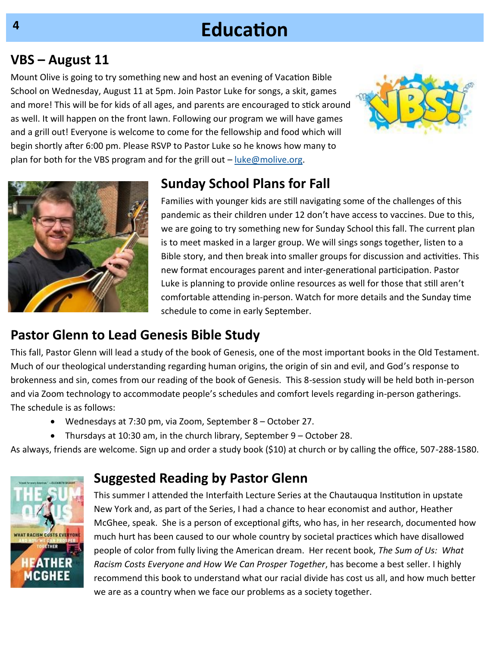# **Education**

### **VBS – August 11**

Mount Olive is going to try something new and host an evening of Vacation Bible School on Wednesday, August 11 at 5pm. Join Pastor Luke for songs, a skit, games and more! This will be for kids of all ages, and parents are encouraged to stick around as well. It will happen on the front lawn. Following our program we will have games and a grill out! Everyone is welcome to come for the fellowship and food which will begin shortly after 6:00 pm. Please RSVP to Pastor Luke so he knows how many to plan for both for the VBS program and for the grill out – [luke@molive.org.](mailto:luke@molive.org)





### **Sunday School Plans for Fall**

Families with younger kids are still navigating some of the challenges of this pandemic as their children under 12 don't have access to vaccines. Due to this, we are going to try something new for Sunday School this fall. The current plan is to meet masked in a larger group. We will sings songs together, listen to a Bible story, and then break into smaller groups for discussion and activities. This new format encourages parent and inter-generational participation. Pastor Luke is planning to provide online resources as well for those that still aren't comfortable attending in-person. Watch for more details and the Sunday time schedule to come in early September.

### **Pastor Glenn to Lead Genesis Bible Study**

This fall, Pastor Glenn will lead a study of the book of Genesis, one of the most important books in the Old Testament. Much of our theological understanding regarding human origins, the origin of sin and evil, and God's response to brokenness and sin, comes from our reading of the book of Genesis. This 8-session study will be held both in-person and via Zoom technology to accommodate people's schedules and comfort levels regarding in-person gatherings. The schedule is as follows:

- Wednesdays at 7:30 pm, via Zoom, September 8 October 27.
- Thursdays at 10:30 am, in the church library, September 9 October 28.

As always, friends are welcome. Sign up and order a study book (\$10) at church or by calling the office, 507-288-1580.

### **Suggested Reading by Pastor Glenn**



This summer I attended the Interfaith Lecture Series at the Chautauqua Institution in upstate New York and, as part of the Series, I had a chance to hear economist and author, Heather McGhee, speak. She is a person of exceptional gifts, who has, in her research, documented how much hurt has been caused to our whole country by societal practices which have disallowed people of color from fully living the American dream. Her recent book, *The Sum of Us: What Racism Costs Everyone and How We Can Prosper Together*, has become a best seller. I highly recommend this book to understand what our racial divide has cost us all, and how much better we are as a country when we face our problems as a society together.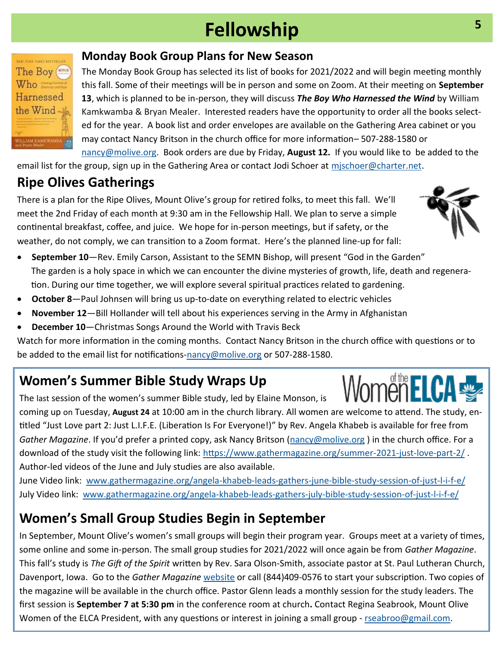# **Fellowship**

#### **Monday Book Group Plans for New Season**

The Monday Book Group has selected its list of books for 2021/2022 and will begin meeting monthly this fall. Some of their meetings will be in person and some on Zoom. At their meeting on **September 13**, which is planned to be in-person, they will discuss *The Boy Who Harnessed the Wind* by William Kamkwamba & Bryan Mealer. Interested readers have the opportunity to order all the books selected for the year. A book list and order envelopes are available on the Gathering Area cabinet or you may contact Nancy Britson in the church office for more information– 507-288-1580 or [nancy@molive.org.](mailto:nancy@molive.org) Book orders are due by Friday, **August 12.** If you would like to be added to the

email list for the group, sign up in the Gathering Area or contact Jodi Schoer at [mjschoer@charter.net.](mailto:mjschoer@charter.net)

# **Ripe Olives Gatherings**

There is a plan for the Ripe Olives, Mount Olive's group for retired folks, to meet this fall. We'll meet the 2nd Friday of each month at 9:30 am in the Fellowship Hall. We plan to serve a simple continental breakfast, coffee, and juice. We hope for in-person meetings, but if safety, or the weather, do not comply, we can transition to a Zoom format. Here's the planned line-up for fall:

- **September 10**—Rev. Emily Carson, Assistant to the SEMN Bishop, will present "God in the Garden" The garden is a holy space in which we can encounter the divine mysteries of growth, life, death and regeneration. During our time together, we will explore several spiritual practices related to gardening.
- **October 8**—Paul Johnsen will bring us up-to-date on everything related to electric vehicles
- **November 12**—Bill Hollander will tell about his experiences serving in the Army in Afghanistan
- **December 10**—Christmas Songs Around the World with Travis Beck

Watch for more information in the coming months. Contact Nancy Britson in the church office with questions or to be added to the email list for notifications-[nancy@molive.org](mailto:nancy@molive.org) or 507-288-1580.

# **Women's Summer Bible Study Wraps Up**

The last session of the women's summer Bible study, led by Elaine Monson, is

coming up on Tuesday, **August 24** at 10:00 am in the church library. All women are welcome to attend. The study, entitled "Just Love part 2: Just L.I.F.E. (Liberation Is For Everyone!)" by Rev. Angela Khabeb is available for free from *Gather Magazine*. If you'd prefer a printed copy, ask Nancy Britson [\(nancy@molive.org](mailto:nancy@molive.org) ) in the church office. For a download of the study visit the following link: [https://www.gathermagazine.org/summer](https://www.gathermagazine.org/summer-2021-just-love-part-2/)-2021-just-love-part-2/. Author-led videos of the June and July studies are also available.

June Video link: [www.gathermagazine.org/angela](https://www.gathermagazine.org/angela-khabeb-leads-gathers-june-bible-study-session-of-just-l-i-f-e/)-khabeb-leads-gathers-june-bible-study-session-of-just-l-i-f-e/ July Video link: [www.gathermagazine.org/angela](https://www.gathermagazine.org/angela-khabeb-leads-gathers-july-bible-study-session-of-just-l-i-f-e/)-khabeb-leads-gathers-july-bible-study-session-of-just-l-i-f-e/

# **Women's Small Group Studies Begin in September**

In September, Mount Olive's women's small groups will begin their program year. Groups meet at a variety of times, some online and some in-person. The small group studies for 2021/2022 will once again be from *Gather Magazine*. This fall's study is *The Gift of the Spirit* written by Rev. Sara Olson-Smith, associate pastor at St. Paul Lutheran Church, Davenport, Iowa. Go to the *Gather Magazine* [website](https://www.cambeywest.com/subscribe2/?p=GAT&f=custcare) or call (844)409-0576 to start your subscription. Two copies of the magazine will be available in the church office. Pastor Glenn leads a monthly session for the study leaders. The first session is **September 7 at 5:30 pm** in the conference room at church**.** Contact Regina Seabrook, Mount Olive Women of the ELCA President, with any questions or interest in joining a small group - rseabroo@gmail.com.

**5**





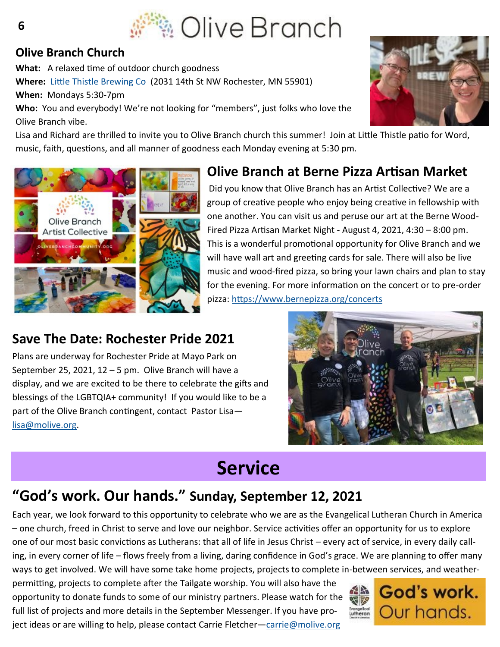

#### **Olive Branch Church**

**What:** A relaxed time of outdoor church goodness **Where:** [Little Thistle Brewing Co](https://littlethistlebeer.com/)(2031 14th St NW Rochester, MN 55901) **When:** Mondays 5:30-7pm **Who:** You and everybody! We're not looking for "members", just folks who love the Olive Branch vibe.



Lisa and Richard are thrilled to invite you to Olive Branch church this summer! Join at Little Thistle patio for Word, music, faith, questions, and all manner of goodness each Monday evening at 5:30 pm.



### **Olive Branch at Berne Pizza Artisan Market**

Did you know that Olive Branch has an Artist Collective? We are a group of creative people who enjoy being creative in fellowship with one another. You can visit us and peruse our art at the Berne Wood-Fired Pizza Artisan Market Night - August 4, 2021, 4:30 – 8:00 pm. This is a wonderful promotional opportunity for Olive Branch and we will have wall art and greeting cards for sale. There will also be live music and wood-fired pizza, so bring your lawn chairs and plan to stay for the evening. For more information on the concert or to pre-order pizza: <https://www.bernepizza.org/concerts>

### **Save The Date: Rochester Pride 2021**

Plans are underway for Rochester Pride at Mayo Park on September 25, 2021,  $12 - 5$  pm. Olive Branch will have a display, and we are excited to be there to celebrate the gifts and blessings of the LGBTQIA+ community! If you would like to be a part of the Olive Branch contingent, contact Pastor Lisa [lisa@molive.org.](mailto:lisa@molive.org)



# **Service**

### **"God's work. Our hands." Sunday, September 12, 2021**

Each year, we look forward to this opportunity to celebrate who we are as the Evangelical Lutheran Church in America – one church, freed in Christ to serve and love our neighbor. Service activities offer an opportunity for us to explore one of our most basic convictions as Lutherans: that all of life in Jesus Christ – every act of service, in every daily calling, in every corner of life – flows freely from a living, daring confidence in God's grace. We are planning to offer many ways to get involved. We will have some take home projects, projects to complete in-between services, and weather-

permitting, projects to complete after the Tailgate worship. You will also have the opportunity to donate funds to some of our ministry partners. Please watch for the full list of projects and more details in the September Messenger. If you have project ideas or are willing to help, please contact Carrie Fletcher[—carrie@molive.org](mailto:carrie@molive.org)



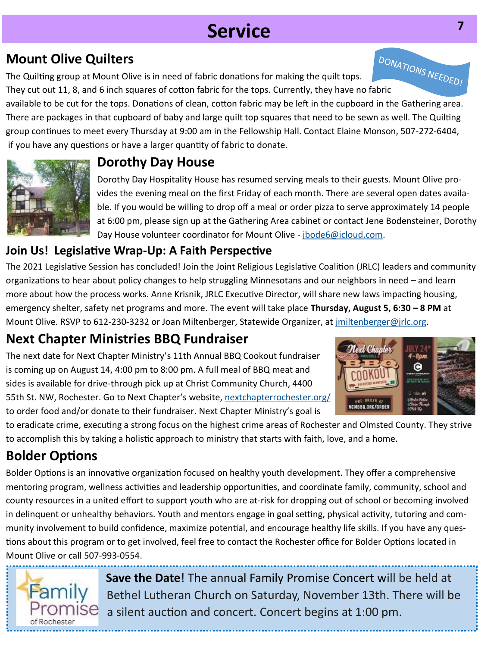# **Service**

### **Mount Olive Quilters**

The Quilting group at Mount Olive is in need of fabric donations for making the quilt tops. **Mount Olive Quilters**<br>The Quilting group at Mount Olive is in need of fabric donations for making the quilt tops.<br>They cut out 11, 8, and 6 inch squares of cotton fabric for the tops. Currently, they have no fabric

available to be cut for the tops. Donations of clean, cotton fabric may be left in the cupboard in the Gathering area. There are packages in that cupboard of baby and large quilt top squares that need to be sewn as well. The Quilting group continues to meet every Thursday at 9:00 am in the Fellowship Hall. Contact Elaine Monson, 507-272-6404, if you have any questions or have a larger quantity of fabric to donate.



### **Dorothy Day House**

Dorothy Day Hospitality House has resumed serving meals to their guests. Mount Olive provides the evening meal on the first Friday of each month. There are several open dates available. If you would be willing to drop off a meal or order pizza to serve approximately 14 people at 6:00 pm, please sign up at the Gathering Area cabinet or contact Jene Bodensteiner, Dorothy Day House volunteer coordinator for Mount Olive - [jbode6@icloud.com.](mailto:jbode6@icloud.com) 

### **Join Us! Legislative Wrap-Up: A Faith Perspective**

The 2021 Legislative Session has concluded! Join the Joint Religious Legislative Coalition (JRLC) leaders and community organizations to hear about policy changes to help struggling Minnesotans and our neighbors in need – and learn more about how the process works. Anne Krisnik, JRLC Executive Director, will share new laws impacting housing, emergency shelter, safety net programs and more. The event will take place **Thursday, August 5, 6:30 – 8 PM** at Mount Olive. RSVP to 612-230-3232 or Joan Miltenberger, Statewide Organizer, at *jmiltenberger@jrlc.org*.

# **Next Chapter Ministries BBQ Fundraiser**

The next date for Next Chapter Ministry's 11th Annual BBQ Cookout fundraiser is coming up on August 14, 4:00 pm to 8:00 pm. A full meal of BBQ meat and sides is available for drive-through pick up at Christ Community Church, 4400 55th St. NW, Rochester. Go to Next Chapter's website, [nextchapterrochester.org/](http://nextchapterrochester.org/bbqorder)  to order food and/or donate to their fundraiser. Next Chapter Ministry's goal is



to eradicate crime, executing a strong focus on the highest crime areas of Rochester and Olmsted County. They strive to accomplish this by taking a holistic approach to ministry that starts with faith, love, and a home.

# **Bolder Options**

[Bolder Options](http://www.bolderoptions.org/) is an innovative organization focused on healthy youth development. They offer a comprehensive mentoring program, wellness activities and leadership opportunities, and coordinate family, community, school and county resources in a united effort to support youth who are at-risk for dropping out of school or becoming involved in delinquent or unhealthy behaviors. Youth and mentors engage in goal setting, physical activity, tutoring and community involvement to build confidence, maximize potential, and encourage healthy life skills. If you have any questions about this program or to get involved, feel free to contact the Rochester office for Bolder Options located in Mount Olive or call 507-993-0554.



**Save the Date**! The annual Family Promise Concert will be held at Bethel Lutheran Church on Saturday, November 13th. There will be a silent auction and concert. Concert begins at 1:00 pm.